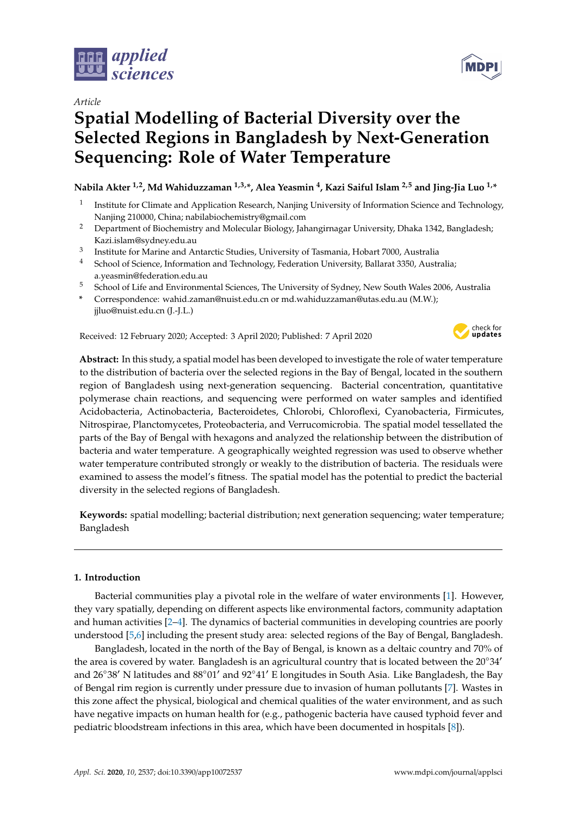

*Article*

# **Spatial Modelling of Bacterial Diversity over the Selected Regions in Bangladesh by Next-Generation Sequencing: Role of Water Temperature**

**Nabila Akter 1,2, Md Wahiduzzaman 1,3,\*, Alea Yeasmin <sup>4</sup> , Kazi Saiful Islam 2,5 and Jing-Jia Luo 1,\***

- 1 Institute for Climate and Application Research, Nanjing University of Information Science and Technology, Nanjing 210000, China; nabilabiochemistry@gmail.com
- <sup>2</sup> Department of Biochemistry and Molecular Biology, Jahangirnagar University, Dhaka 1342, Bangladesh; Kazi.islam@sydney.edu.au
- 3 Institute for Marine and Antarctic Studies, University of Tasmania, Hobart 7000, Australia
- <sup>4</sup> School of Science, Information and Technology, Federation University, Ballarat 3350, Australia; a.yeasmin@federation.edu.au
- <sup>5</sup> School of Life and Environmental Sciences, The University of Sydney, New South Wales 2006, Australia
- **\*** Correspondence: wahid.zaman@nuist.edu.cn or md.wahiduzzaman@utas.edu.au (M.W.); jjluo@nuist.edu.cn (J.-J.L.)

Received: 12 February 2020; Accepted: 3 April 2020; Published: 7 April 2020



**Abstract:** In this study, a spatial model has been developed to investigate the role of water temperature to the distribution of bacteria over the selected regions in the Bay of Bengal, located in the southern region of Bangladesh using next-generation sequencing. Bacterial concentration, quantitative polymerase chain reactions, and sequencing were performed on water samples and identified Acidobacteria, Actinobacteria, Bacteroidetes, Chlorobi, Chloroflexi, Cyanobacteria, Firmicutes, Nitrospirae, Planctomycetes, Proteobacteria, and Verrucomicrobia. The spatial model tessellated the parts of the Bay of Bengal with hexagons and analyzed the relationship between the distribution of bacteria and water temperature. A geographically weighted regression was used to observe whether water temperature contributed strongly or weakly to the distribution of bacteria. The residuals were examined to assess the model's fitness. The spatial model has the potential to predict the bacterial diversity in the selected regions of Bangladesh.

**Keywords:** spatial modelling; bacterial distribution; next generation sequencing; water temperature; Bangladesh

### **1. Introduction**

Bacterial communities play a pivotal role in the welfare of water environments [\[1\]](#page-6-0). However, they vary spatially, depending on different aspects like environmental factors, community adaptation and human activities [\[2](#page-6-1)[–4\]](#page-6-2). The dynamics of bacterial communities in developing countries are poorly understood [\[5](#page-7-0)[,6\]](#page-7-1) including the present study area: selected regions of the Bay of Bengal, Bangladesh.

Bangladesh, located in the north of the Bay of Bengal, is known as a deltaic country and 70% of the area is covered by water. Bangladesh is an agricultural country that is located between the 20°34' and 26°38′ N latitudes and 88°01′ and 92°41′ E longitudes in South Asia. Like Bangladesh, the Bay of Bengal rim region is currently under pressure due to invasion of human pollutants [\[7\]](#page-7-2). Wastes in this zone affect the physical, biological and chemical qualities of the water environment, and as such have negative impacts on human health for (e.g., pathogenic bacteria have caused typhoid fever and pediatric bloodstream infections in this area, which have been documented in hospitals [\[8\]](#page-7-3)).

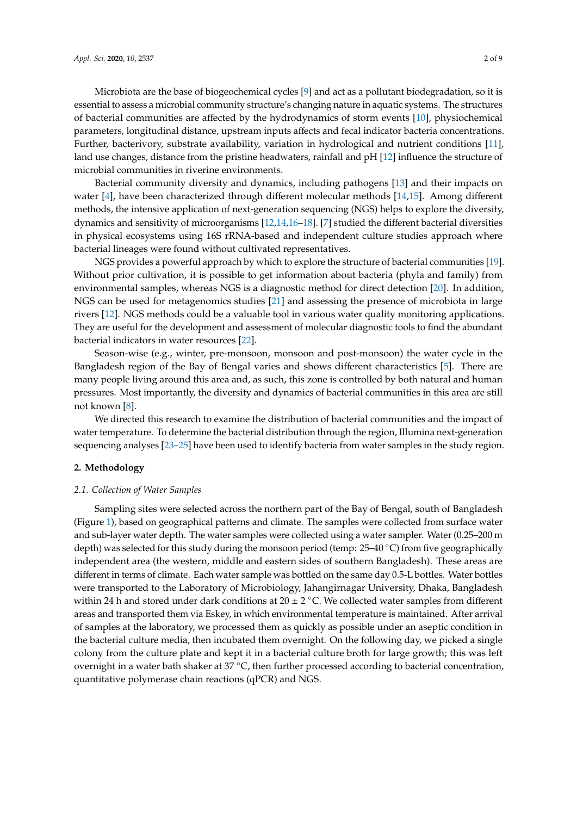Microbiota are the base of biogeochemical cycles [\[9\]](#page-7-4) and act as a pollutant biodegradation, so it is essential to assess a microbial community structure's changing nature in aquatic systems. The structures of bacterial communities are affected by the hydrodynamics of storm events [\[10\]](#page-7-5), physiochemical parameters, longitudinal distance, upstream inputs affects and fecal indicator bacteria concentrations. Further, bacterivory, substrate availability, variation in hydrological and nutrient conditions [\[11\]](#page-7-6), land use changes, distance from the pristine headwaters, rainfall and pH [\[12\]](#page-7-7) influence the structure of microbial communities in riverine environments.

Bacterial community diversity and dynamics, including pathogens [\[13\]](#page-7-8) and their impacts on water [\[4\]](#page-6-2), have been characterized through different molecular methods [\[14,](#page-7-9)[15\]](#page-7-10). Among different methods, the intensive application of next-generation sequencing (NGS) helps to explore the diversity, dynamics and sensitivity of microorganisms [\[12](#page-7-7)[,14](#page-7-9)[,16–](#page-7-11)[18\]](#page-7-12). [\[7\]](#page-7-2) studied the different bacterial diversities in physical ecosystems using 16S rRNA-based and independent culture studies approach where bacterial lineages were found without cultivated representatives.

NGS provides a powerful approach by which to explore the structure of bacterial communities [\[19\]](#page-7-13). Without prior cultivation, it is possible to get information about bacteria (phyla and family) from environmental samples, whereas NGS is a diagnostic method for direct detection [\[20\]](#page-7-14). In addition, NGS can be used for metagenomics studies [\[21\]](#page-7-15) and assessing the presence of microbiota in large rivers [\[12\]](#page-7-7). NGS methods could be a valuable tool in various water quality monitoring applications. They are useful for the development and assessment of molecular diagnostic tools to find the abundant bacterial indicators in water resources [\[22\]](#page-7-16).

Season-wise (e.g., winter, pre-monsoon, monsoon and post-monsoon) the water cycle in the Bangladesh region of the Bay of Bengal varies and shows different characteristics [\[5\]](#page-7-0). There are many people living around this area and, as such, this zone is controlled by both natural and human pressures. Most importantly, the diversity and dynamics of bacterial communities in this area are still not known [\[8\]](#page-7-3).

We directed this research to examine the distribution of bacterial communities and the impact of water temperature. To determine the bacterial distribution through the region, Illumina next-generation sequencing analyses [\[23](#page-7-17)[–25\]](#page-8-0) have been used to identify bacteria from water samples in the study region.

#### <span id="page-1-0"></span>**2. Methodology**

#### *2.1. Collection of Water Samples*

Sampling sites were selected across the northern part of the Bay of Bengal, south of Bangladesh (Figure [1\)](#page-2-0), based on geographical patterns and climate. The samples were collected from surface water and sub-layer water depth. The water samples were collected using a water sampler. Water (0.25–200 m depth) was selected for this study during the monsoon period (temp: 25–40 <sup>°</sup>C) from five geographically independent area (the western, middle and eastern sides of southern Bangladesh). These areas are different in terms of climate. Each water sample was bottled on the same day 0.5-L bottles. Water bottles were transported to the Laboratory of Microbiology, Jahangirnagar University, Dhaka, Bangladesh within 24 h and stored under dark conditions at  $20 \pm 2$  °C. We collected water samples from different areas and transported them via Eskey, in which environmental temperature is maintained. After arrival of samples at the laboratory, we processed them as quickly as possible under an aseptic condition in the bacterial culture media, then incubated them overnight. On the following day, we picked a single colony from the culture plate and kept it in a bacterial culture broth for large growth; this was left overnight in a water bath shaker at  $37 \degree C$ , then further processed according to bacterial concentration, quantitative polymerase chain reactions (qPCR) and NGS.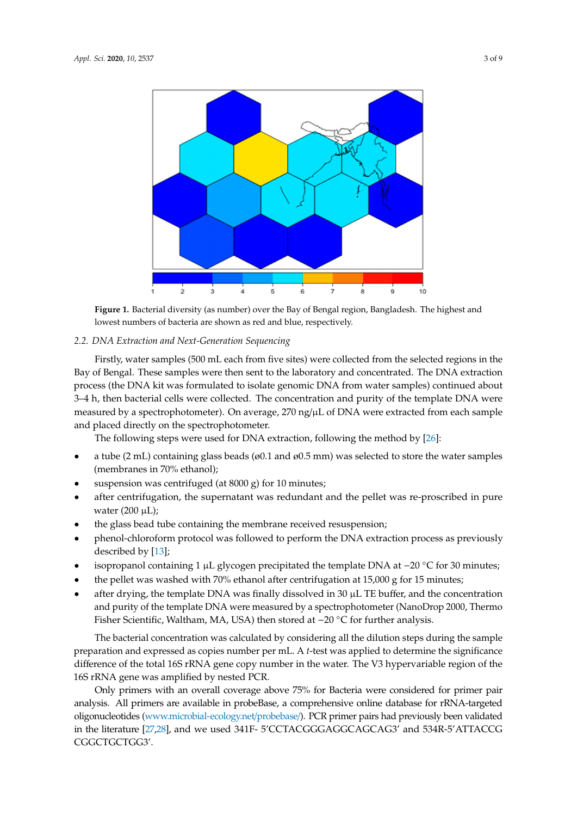<span id="page-2-0"></span>

**Figure 1.** Bacterial diversity (as number) over the Bay of Bengal region, Bangladesh. The highest and **Figure 1.** Bacterial diversity (as number) over the Bay of Bengal region, Bangladesh. The highest and lowest numbers of bacteria are shown as red and blue, respectively. lowest numbers of bacteria are shown as red and blue, respectively.

## *3.2. Spatial Modelling of Bacteria Distribution and Water Temperature 2.2. DNA Extraction and Next-Generation Sequencing*

Firstly, water samples (500 mL each from five sites) were collected from the selected regions in the Bay of Bengal. These samples were then sent to the laboratory and concentrated. The DNA extraction process (the DNA kit was formulated to isolate genomic DNA from water samples) continued about 3–4 h, then bacterial cells were collected. The concentration and purity of the template DNA were measured by a spectrophotometer). On average, 270 ng/µL of DNA were extracted from each sample ature data in each hexagon. Temperatures exceeding 29 °C were seen mostly in the study in the study area. and placed directly on the spectrophotometer.

The following steps were used for DNA extraction, following the method by [\[26\]](#page-8-1):

- a tube (2 mL) containing glass beads (ø0.1 and ø0.5 mm) was selected to store the water samples (membranes in 70% ethanol);
- suspension was centrifuged (at 8000 g) for 10 minutes;
- after centrifugation, the supernatant was redundant and the pellet was re-proscribed in pure  $\text{water} (200 \,\mu\text{L})$ ;
- the glass bead tube containing the membrane received resuspension;
- phenol-chloroform protocol was followed to perform the DNA extraction process as previously respectively. Magnetic low diversity coupled with a relatively high water  $\mathbf{r}$  and  $\mathbf{r}$  and  $\mathbf{r}$  water  $\mathbf{r}$  and  $\mathbf{r}$  are latitude with water  $\mathbf{r}$  and  $\mathbf{r}$  are latitude with  $\mathbf{r}$  and  $\mathbf{r}$ described by [\[13\]](#page-7-8);
- isopropanol containing 1 μL glycogen precipitated the template DNA at −20 °C for 30 minutes;
- the pellet was washed with  $70\%$  ethanol after centrifugation at  $15,000$  g for  $15$  minutes;
- after drying, the template DNA was finally dissolved in 30 µL TE buffer, and the concentration and purity of the template DNA were measured by a spectrophotometer (NanoDrop 2000, Thermo Fisher Scientific, Waltham, MA, USA) then stored at −20 ◦C for further analysis.

The bacterial concentration was calculated by considering all the dilution steps during the sample preparation and expressed as copies number per mL. A *t*-test was applied to determine the significance difference of the total 16S rRNA gene copy number in the water. The V3 hypervariable region of the 16S rRNA gene was amplified by nested PCR.

Only primers with an overall coverage above 75% for Bacteria were considered for primer pair analysis. All primers are available in probeBase, a comprehensive online database for rRNA-targeted oligonucleotides [\(www.microbial-ecology.net](www.microbial-ecology.net/probebase/)/probebase/). PCR primer pairs had previously been validated in the literature [\[27](#page-8-2)[,28\]](#page-8-3), and we used 341F- 5'CCTACGGGAGGCAGCAG3' and 534R-5'ATTACCG CGGCTGCTGG3'.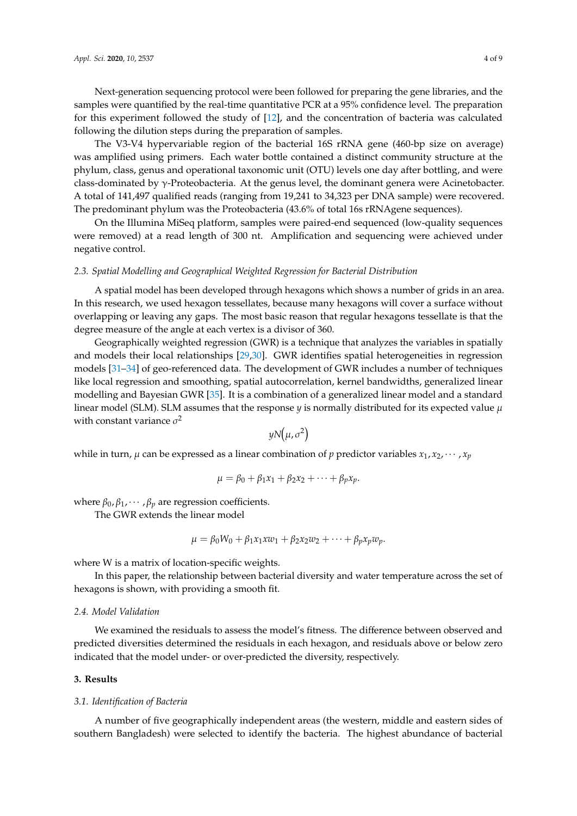Next-generation sequencing protocol were been followed for preparing the gene libraries, and the samples were quantified by the real-time quantitative PCR at a 95% confidence level. The preparation for this experiment followed the study of [\[12\]](#page-7-7), and the concentration of bacteria was calculated following the dilution steps during the preparation of samples.

The V3-V4 hypervariable region of the bacterial 16S rRNA gene (460-bp size on average) was amplified using primers. Each water bottle contained a distinct community structure at the phylum, class, genus and operational taxonomic unit (OTU) levels one day after bottling, and were class-dominated by γ-Proteobacteria. At the genus level, the dominant genera were Acinetobacter. A total of 141,497 qualified reads (ranging from 19,241 to 34,323 per DNA sample) were recovered. The predominant phylum was the Proteobacteria (43.6% of total 16s rRNAgene sequences).

On the Illumina MiSeq platform, samples were paired-end sequenced (low-quality sequences were removed) at a read length of 300 nt. Amplification and sequencing were achieved under negative control.

#### *2.3. Spatial Modelling and Geographical Weighted Regression for Bacterial Distribution*

A spatial model has been developed through hexagons which shows a number of grids in an area. In this research, we used hexagon tessellates, because many hexagons will cover a surface without overlapping or leaving any gaps. The most basic reason that regular hexagons tessellate is that the degree measure of the angle at each vertex is a divisor of 360.

Geographically weighted regression (GWR) is a technique that analyzes the variables in spatially and models their local relationships [\[29](#page-8-4)[,30\]](#page-8-5). GWR identifies spatial heterogeneities in regression models [\[31](#page-8-6)[–34\]](#page-8-7) of geo-referenced data. The development of GWR includes a number of techniques like local regression and smoothing, spatial autocorrelation, kernel bandwidths, generalized linear modelling and Bayesian GWR [\[35\]](#page-8-8). It is a combination of a generalized linear model and a standard linear model (SLM). SLM assumes that the response  $y$  is normally distributed for its expected value  $\mu$ with constant variance  $\sigma^2$ 

$$
yN(\mu, \sigma^2)
$$

while in turn,  $\mu$  can be expressed as a linear combination of *p* predictor variables  $x_1, x_2, \dots, x_p$ 

$$
\mu = \beta_0 + \beta_1 x_1 + \beta_2 x_2 + \cdots + \beta_p x_p.
$$

where  $\beta_0$ ,  $\beta_1$ ,  $\cdots$ ,  $\beta_p$  are regression coefficients.

The GWR extends the linear model

$$
\mu = \beta_0 W_0 + \beta_1 x_1 x w_1 + \beta_2 x_2 w_2 + \cdots + \beta_p x_p w_p.
$$

where W is a matrix of location-specific weights.

In this paper, the relationship between bacterial diversity and water temperature across the set of hexagons is shown, with providing a smooth fit.

#### *2.4. Model Validation*

We examined the residuals to assess the model's fitness. The difference between observed and predicted diversities determined the residuals in each hexagon, and residuals above or below zero indicated that the model under- or over-predicted the diversity, respectively.

#### **3. Results**

#### *3.1. Identification of Bacteria*

A number of five geographically independent areas (the western, middle and eastern sides of southern Bangladesh) were selected to identify the bacteria. The highest abundance of bacterial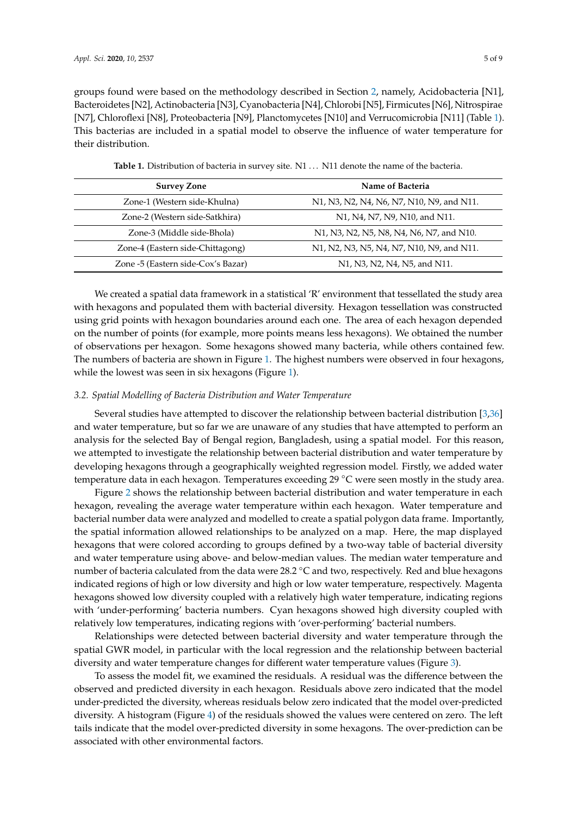groups found were based on the methodology described in Section [2,](#page-1-0) namely, Acidobacteria [N1], Bacteroidetes [N2], Actinobacteria [N3], Cyanobacteria [N4], Chlorobi [N5], Firmicutes [N6], Nitrospirae [N7], Chloroflexi [N8], Proteobacteria [N9], Planctomycetes [N10] and Verrucomicrobia [N11] (Table [1\)](#page-4-0). This bacterias are included in a spatial model to observe the influence of water temperature for their distribution.

<span id="page-4-0"></span>

| <b>Survey Zone</b>                 | Name of Bacteria                                                                                           |
|------------------------------------|------------------------------------------------------------------------------------------------------------|
| Zone-1 (Western side-Khulna)       | N1, N3, N2, N4, N6, N7, N10, N9, and N11.                                                                  |
| Zone-2 (Western side-Satkhira)     | N1, N4, N7, N9, N10, and N11.                                                                              |
| Zone-3 (Middle side-Bhola)         | N1, N3, N2, N5, N8, N4, N6, N7, and N10.                                                                   |
| Zone-4 (Eastern side-Chittagong)   | N1, N2, N3, N5, N4, N7, N10, N9, and N11.                                                                  |
| Zone -5 (Eastern side-Cox's Bazar) | N <sub>1</sub> , N <sub>3</sub> , N <sub>2</sub> , N <sub>4</sub> , N <sub>5</sub> , and N <sub>11</sub> . |

Table 1. Distribution of bacteria in survey site. N1 . . . N11 denote the name of the bacteria.

We created a spatial data framework in a statistical 'R' environment that tessellated the study area with hexagons and populated them with bacterial diversity. Hexagon tessellation was constructed using grid points with hexagon boundaries around each one. The area of each hexagon depended on the number of points (for example, more points means less hexagons). We obtained the number of observations per hexagon. Some hexagons showed many bacteria, while others contained few. The numbers of bacteria are shown in Figure [1.](#page-2-0) The highest numbers were observed in four hexagons, while the lowest was seen in six hexagons (Figure [1\)](#page-2-0).

#### *3.2. Spatial Modelling of Bacteria Distribution and Water Temperature*

Several studies have attempted to discover the relationship between bacterial distribution [\[3](#page-6-3)[,36\]](#page-8-9) and water temperature, but so far we are unaware of any studies that have attempted to perform an analysis for the selected Bay of Bengal region, Bangladesh, using a spatial model. For this reason, we attempted to investigate the relationship between bacterial distribution and water temperature by developing hexagons through a geographically weighted regression model. Firstly, we added water temperature data in each hexagon. Temperatures exceeding 29 ◦C were seen mostly in the study area.

Figure [2](#page-5-0) shows the relationship between bacterial distribution and water temperature in each hexagon, revealing the average water temperature within each hexagon. Water temperature and bacterial number data were analyzed and modelled to create a spatial polygon data frame. Importantly, the spatial information allowed relationships to be analyzed on a map. Here, the map displayed hexagons that were colored according to groups defined by a two-way table of bacterial diversity and water temperature using above- and below-median values. The median water temperature and number of bacteria calculated from the data were 28.2 ℃ and two, respectively. Red and blue hexagons indicated regions of high or low diversity and high or low water temperature, respectively. Magenta hexagons showed low diversity coupled with a relatively high water temperature, indicating regions with 'under-performing' bacteria numbers. Cyan hexagons showed high diversity coupled with relatively low temperatures, indicating regions with 'over-performing' bacterial numbers.

Relationships were detected between bacterial diversity and water temperature through the spatial GWR model, in particular with the local regression and the relationship between bacterial diversity and water temperature changes for different water temperature values (Figure [3\)](#page-5-1).

To assess the model fit, we examined the residuals. A residual was the difference between the observed and predicted diversity in each hexagon. Residuals above zero indicated that the model under-predicted the diversity, whereas residuals below zero indicated that the model over-predicted diversity. A histogram (Figure [4\)](#page-5-2) of the residuals showed the values were centered on zero. The left tails indicate that the model over-predicted diversity in some hexagons. The over-prediction can be associated with other environmental factors.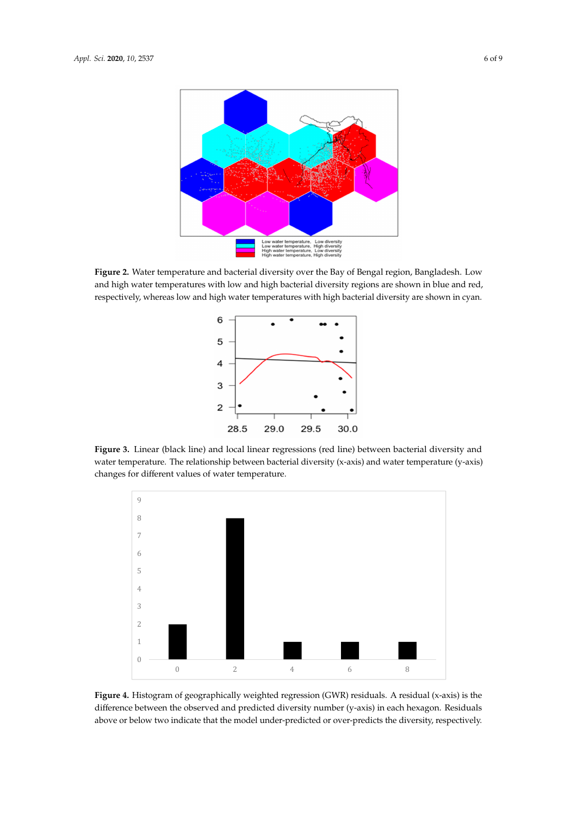<span id="page-5-0"></span>

Figure 2. Water temperature and bacterial diversity over the Bay of Bengal region, Bangladesh. Low , and high water temperatures with low and high bacterial diversity regions are shown in blue and red respectively, whereas low and high water temperatures with high bacterial diversity are shown in respectively, whereas low and high water temperatures with high bacterial diversity are shown in cyan.  $\frac{1}{\sqrt{2}}$  model, in particular with the local regression and the relationship between bacterial bacterial between bacterial  $\frac{1}{\sqrt{2}}$ 

<span id="page-5-1"></span>

**Figure 3.** Linear (black line) and local linear regressions (red line) between bacterial diversity and **Figure 3.** Linear (black line) and local linear regressions (red line) between bacterial diversity and water temperature. The relationship between bacterial diversity (x-axis) and water temperature (y-water temperature. The relationship between bacterial diversity (x-axis) and water temperature (y-axis) changes for different values of water temperature.

<span id="page-5-2"></span>

**Figure 4.** Histogram of geographically weighted regression (GWR) residuals. A residual (x-axis) is the **Figure 4.** Histogram of geographically weighted regression (GWR) residuals. A residual (x-axis) is the difference between the observed and predicted diversity number (y-axis) in each hexagon. Residuals difference between the observed and predicted diversity number (y-axis) in each hexagon. Residuals above or below two indicates that the model under-predicted or over-predicted or over-predicted or over-predict above or below two indicate that the model under-predicted or over-predicts the diversity, respectively.<br>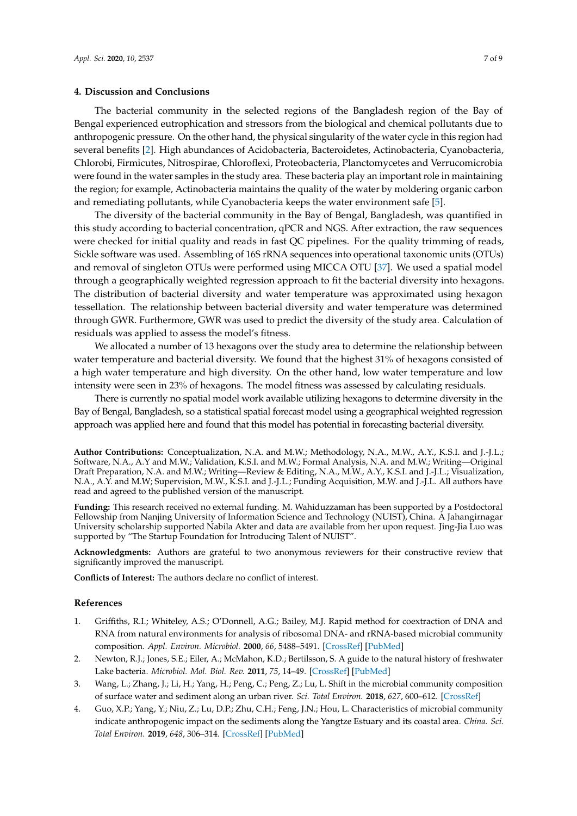#### **4. Discussion and Conclusions**

The bacterial community in the selected regions of the Bangladesh region of the Bay of Bengal experienced eutrophication and stressors from the biological and chemical pollutants due to anthropogenic pressure. On the other hand, the physical singularity of the water cycle in this region had several benefits [\[2\]](#page-6-1). High abundances of Acidobacteria, Bacteroidetes, Actinobacteria, Cyanobacteria, Chlorobi, Firmicutes, Nitrospirae, Chloroflexi, Proteobacteria, Planctomycetes and Verrucomicrobia were found in the water samples in the study area. These bacteria play an important role in maintaining the region; for example, Actinobacteria maintains the quality of the water by moldering organic carbon and remediating pollutants, while Cyanobacteria keeps the water environment safe [\[5\]](#page-7-0).

The diversity of the bacterial community in the Bay of Bengal, Bangladesh, was quantified in this study according to bacterial concentration, qPCR and NGS. After extraction, the raw sequences were checked for initial quality and reads in fast QC pipelines. For the quality trimming of reads, Sickle software was used. Assembling of 16S rRNA sequences into operational taxonomic units (OTUs) and removal of singleton OTUs were performed using MICCA OTU [\[37\]](#page-8-10). We used a spatial model through a geographically weighted regression approach to fit the bacterial diversity into hexagons. The distribution of bacterial diversity and water temperature was approximated using hexagon tessellation. The relationship between bacterial diversity and water temperature was determined through GWR. Furthermore, GWR was used to predict the diversity of the study area. Calculation of residuals was applied to assess the model's fitness.

We allocated a number of 13 hexagons over the study area to determine the relationship between water temperature and bacterial diversity. We found that the highest 31% of hexagons consisted of a high water temperature and high diversity. On the other hand, low water temperature and low intensity were seen in 23% of hexagons. The model fitness was assessed by calculating residuals.

There is currently no spatial model work available utilizing hexagons to determine diversity in the Bay of Bengal, Bangladesh, so a statistical spatial forecast model using a geographical weighted regression approach was applied here and found that this model has potential in forecasting bacterial diversity.

**Author Contributions:** Conceptualization, N.A. and M.W.; Methodology, N.A., M.W., A.Y., K.S.I. and J.-J.L.; Software, N.A., A.Y and M.W.; Validation, K.S.I. and M.W.; Formal Analysis, N.A. and M.W.; Writing—Original Draft Preparation, N.A. and M.W.; Writing—Review & Editing, N.A., M.W., A.Y., K.S.I. and J.-J.L.; Visualization, N.A., A.Y. and M.W; Supervision, M.W., K.S.I. and J.-J.L.; Funding Acquisition, M.W. and J.-J.L. All authors have read and agreed to the published version of the manuscript.

**Funding:** This research received no external funding. M. Wahiduzzaman has been supported by a Postdoctoral Fellowship from Nanjing University of Information Science and Technology (NUIST), China. A Jahangirnagar University scholarship supported Nabila Akter and data are available from her upon request. Jing-Jia Luo was supported by "The Startup Foundation for Introducing Talent of NUIST".

**Acknowledgments:** Authors are grateful to two anonymous reviewers for their constructive review that significantly improved the manuscript.

**Conflicts of Interest:** The authors declare no conflict of interest.

#### **References**

- <span id="page-6-0"></span>1. Griffiths, R.I.; Whiteley, A.S.; O'Donnell, A.G.; Bailey, M.J. Rapid method for coextraction of DNA and RNA from natural environments for analysis of ribosomal DNA- and rRNA-based microbial community composition. *Appl. Environ. Microbiol.* **2000**, *66*, 5488–5491. [\[CrossRef\]](http://dx.doi.org/10.1128/AEM.66.12.5488-5491.2000) [\[PubMed\]](http://www.ncbi.nlm.nih.gov/pubmed/11097934)
- <span id="page-6-1"></span>2. Newton, R.J.; Jones, S.E.; Eiler, A.; McMahon, K.D.; Bertilsson, S. A guide to the natural history of freshwater Lake bacteria. *Microbiol. Mol. Biol. Rev.* **2011**, *75*, 14–49. [\[CrossRef\]](http://dx.doi.org/10.1128/MMBR.00028-10) [\[PubMed\]](http://www.ncbi.nlm.nih.gov/pubmed/21372319)
- <span id="page-6-3"></span>3. Wang, L.; Zhang, J.; Li, H.; Yang, H.; Peng, C.; Peng, Z.; Lu, L. Shift in the microbial community composition of surface water and sediment along an urban river. *Sci. Total Environ.* **2018**, *627*, 600–612. [\[CrossRef\]](http://dx.doi.org/10.1016/j.scitotenv.2018.01.203)
- <span id="page-6-2"></span>4. Guo, X.P.; Yang, Y.; Niu, Z.; Lu, D.P.; Zhu, C.H.; Feng, J.N.; Hou, L. Characteristics of microbial community indicate anthropogenic impact on the sediments along the Yangtze Estuary and its coastal area. *China. Sci. Total Environ.* **2019**, *648*, 306–314. [\[CrossRef\]](http://dx.doi.org/10.1016/j.scitotenv.2018.08.162) [\[PubMed\]](http://www.ncbi.nlm.nih.gov/pubmed/30121030)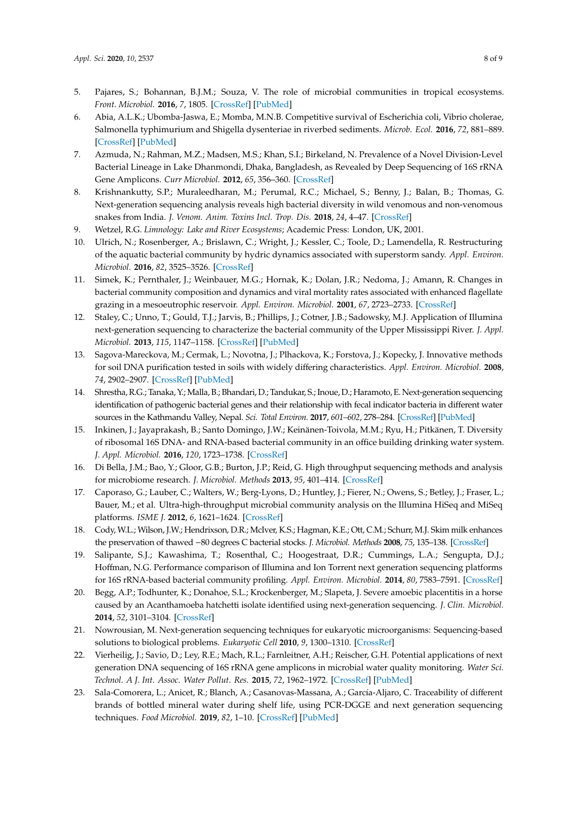- <span id="page-7-0"></span>5. Pajares, S.; Bohannan, B.J.M.; Souza, V. The role of microbial communities in tropical ecosystems. *Front. Microbiol.* **2016**, *7*, 1805. [\[CrossRef\]](http://dx.doi.org/10.3389/fmicb.2016.01805) [\[PubMed\]](http://www.ncbi.nlm.nih.gov/pubmed/27891123)
- <span id="page-7-1"></span>6. Abia, A.L.K.; Ubomba-Jaswa, E.; Momba, M.N.B. Competitive survival of Escherichia coli, Vibrio cholerae, Salmonella typhimurium and Shigella dysenteriae in riverbed sediments. *Microb. Ecol.* **2016**, *72*, 881–889. [\[CrossRef\]](http://dx.doi.org/10.1007/s00248-016-0784-y) [\[PubMed\]](http://www.ncbi.nlm.nih.gov/pubmed/27193001)
- <span id="page-7-2"></span>7. Azmuda, N.; Rahman, M.Z.; Madsen, M.S.; Khan, S.I.; Birkeland, N. Prevalence of a Novel Division-Level Bacterial Lineage in Lake Dhanmondi, Dhaka, Bangladesh, as Revealed by Deep Sequencing of 16S rRNA Gene Amplicons. *Curr Microbiol.* **2012**, *65*, 356–360. [\[CrossRef\]](http://dx.doi.org/10.1007/s00284-012-0165-9)
- <span id="page-7-3"></span>8. Krishnankutty, S.P.; Muraleedharan, M.; Perumal, R.C.; Michael, S.; Benny, J.; Balan, B.; Thomas, G. Next-generation sequencing analysis reveals high bacterial diversity in wild venomous and non-venomous snakes from India. *J. Venom. Anim. Toxins Incl. Trop. Dis.* **2018**, *24*, 4–47. [\[CrossRef\]](http://dx.doi.org/10.1186/s40409-018-0181-8)
- <span id="page-7-4"></span>9. Wetzel, R.G. *Limnology: Lake and River Ecosystems*; Academic Press: London, UK, 2001.
- <span id="page-7-5"></span>10. Ulrich, N.; Rosenberger, A.; Brislawn, C.; Wright, J.; Kessler, C.; Toole, D.; Lamendella, R. Restructuring of the aquatic bacterial community by hydric dynamics associated with superstorm sandy. *Appl. Environ. Microbiol.* **2016**, *82*, 3525–3526. [\[CrossRef\]](http://dx.doi.org/10.1128/AEM.00520-16)
- <span id="page-7-6"></span>11. Simek, K.; Pernthaler, J.; Weinbauer, M.G.; Hornak, K.; Dolan, J.R.; Nedoma, J.; Amann, R. Changes in bacterial community composition and dynamics and viral mortality rates associated with enhanced flagellate grazing in a mesoeutrophic reservoir. *Appl. Environ. Microbiol.* **2001**, *67*, 2723–2733. [\[CrossRef\]](http://dx.doi.org/10.1128/AEM.67.6.2723-2733.2001)
- <span id="page-7-7"></span>12. Staley, C.; Unno, T.; Gould, T.J.; Jarvis, B.; Phillips, J.; Cotner, J.B.; Sadowsky, M.J. Application of Illumina next-generation sequencing to characterize the bacterial community of the Upper Mississippi River. *J. Appl. Microbiol.* **2013**, *115*, 1147–1158. [\[CrossRef\]](http://dx.doi.org/10.1111/jam.12323) [\[PubMed\]](http://www.ncbi.nlm.nih.gov/pubmed/23924231)
- <span id="page-7-8"></span>13. Sagova-Mareckova, M.; Cermak, L.; Novotna, J.; Plhackova, K.; Forstova, J.; Kopecky, J. Innovative methods for soil DNA purification tested in soils with widely differing characteristics. *Appl. Environ. Microbiol.* **2008**, *74*, 2902–2907. [\[CrossRef\]](http://dx.doi.org/10.1128/AEM.02161-07) [\[PubMed\]](http://www.ncbi.nlm.nih.gov/pubmed/18344341)
- <span id="page-7-9"></span>14. Shrestha, R.G.; Tanaka, Y.; Malla, B.; Bhandari, D.; Tandukar, S.; Inoue, D.; Haramoto, E. Next-generation sequencing identification of pathogenic bacterial genes and their relationship with fecal indicator bacteria in different water sources in the Kathmandu Valley, Nepal. *Sci. Total Environ.* **2017**, *601–602*, 278–284. [\[CrossRef\]](http://dx.doi.org/10.1016/j.scitotenv.2017.05.105) [\[PubMed\]](http://www.ncbi.nlm.nih.gov/pubmed/28558276)
- <span id="page-7-10"></span>15. Inkinen, J.; Jayaprakash, B.; Santo Domingo, J.W.; Keinänen-Toivola, M.M.; Ryu, H.; Pitkänen, T. Diversity of ribosomal 16S DNA- and RNA-based bacterial community in an office building drinking water system. *J. Appl. Microbiol.* **2016**, *120*, 1723–1738. [\[CrossRef\]](http://dx.doi.org/10.1111/jam.13144)
- <span id="page-7-11"></span>16. Di Bella, J.M.; Bao, Y.; Gloor, G.B.; Burton, J.P.; Reid, G. High throughput sequencing methods and analysis for microbiome research. *J. Microbiol. Methods* **2013**, *95*, 401–414. [\[CrossRef\]](http://dx.doi.org/10.1016/j.mimet.2013.08.011)
- 17. Caporaso, G.; Lauber, C.; Walters, W.; Berg-Lyons, D.; Huntley, J.; Fierer, N.; Owens, S.; Betley, J.; Fraser, L.; Bauer, M.; et al. Ultra-high-throughput microbial community analysis on the Illumina HiSeq and MiSeq platforms. *ISME J.* **2012**, *6*, 1621–1624. [\[CrossRef\]](http://dx.doi.org/10.1038/ismej.2012.8)
- <span id="page-7-12"></span>18. Cody, W.L.; Wilson, J.W.; Hendrixson, D.R.; McIver, K.S.; Hagman, K.E.; Ott, C.M.; Schurr, M.J. Skim milk enhances the preservation of thawed −80 degrees C bacterial stocks. *J. Microbiol. Methods* **2008**, *75*, 135–138. [\[CrossRef\]](http://dx.doi.org/10.1016/j.mimet.2008.05.006)
- <span id="page-7-13"></span>19. Salipante, S.J.; Kawashima, T.; Rosenthal, C.; Hoogestraat, D.R.; Cummings, L.A.; Sengupta, D.J.; Hoffman, N.G. Performance comparison of Illumina and Ion Torrent next generation sequencing platforms for 16S rRNA-based bacterial community profiling. *Appl. Environ. Microbiol.* **2014**, *80*, 7583–7591. [\[CrossRef\]](http://dx.doi.org/10.1128/AEM.02206-14)
- <span id="page-7-14"></span>20. Begg, A.P.; Todhunter, K.; Donahoe, S.L.; Krockenberger, M.; Slapeta, J. Severe amoebic placentitis in a horse caused by an Acanthamoeba hatchetti isolate identified using next-generation sequencing. *J. Clin. Microbiol.* **2014**, *52*, 3101–3104. [\[CrossRef\]](http://dx.doi.org/10.1128/JCM.01071-14)
- <span id="page-7-15"></span>21. Nowrousian, M. Next-generation sequencing techniques for eukaryotic microorganisms: Sequencing-based solutions to biological problems. *Eukaryotic Cell* **2010**, *9*, 1300–1310. [\[CrossRef\]](http://dx.doi.org/10.1128/EC.00123-10)
- <span id="page-7-16"></span>22. Vierheilig, J.; Savio, D.; Ley, R.E.; Mach, R.L.; Farnleitner, A.H.; Reischer, G.H. Potential applications of next generation DNA sequencing of 16S rRNA gene amplicons in microbial water quality monitoring. *Water Sci. Technol. A J. Int. Assoc. Water Pollut. Res.* **2015**, *72*, 1962–1972. [\[CrossRef\]](http://dx.doi.org/10.2166/wst.2015.407) [\[PubMed\]](http://www.ncbi.nlm.nih.gov/pubmed/26606090)
- <span id="page-7-17"></span>23. Sala-Comorera, L.; Anicet, R.; Blanch, A.; Casanovas-Massana, A.; García-Aljaro, C. Traceability of different brands of bottled mineral water during shelf life, using PCR-DGGE and next generation sequencing techniques. *Food Microbiol.* **2019**, *82*, 1–10. [\[CrossRef\]](http://dx.doi.org/10.1016/j.fm.2019.01.006) [\[PubMed\]](http://www.ncbi.nlm.nih.gov/pubmed/31027761)